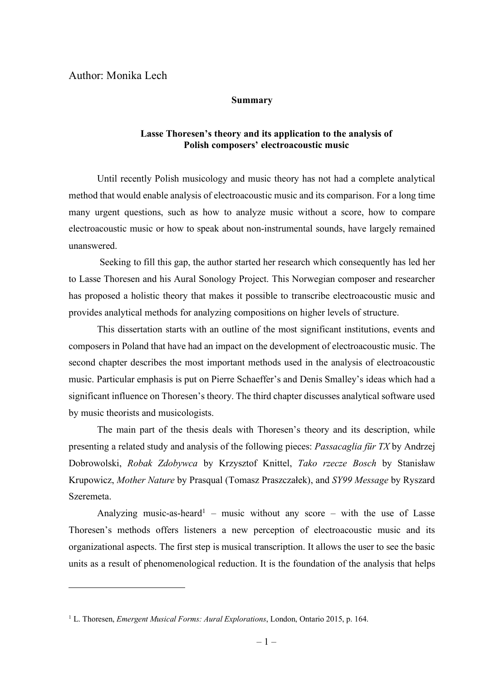Author: Monika Lech

 $\overline{a}$ 

## **Summary**

## **Lasse Thoresen's theory and its application to the analysis of Polish composers' electroacoustic music**

Until recently Polish musicology and music theory has not had a complete analytical method that would enable analysis of electroacoustic music and its comparison. For a long time many urgent questions, such as how to analyze music without a score, how to compare electroacoustic music or how to speak about non-instrumental sounds, have largely remained unanswered.

Seeking to fill this gap, the author started her research which consequently has led her to Lasse Thoresen and his Aural Sonology Project. This Norwegian composer and researcher has proposed a holistic theory that makes it possible to transcribe electroacoustic music and provides analytical methods for analyzing compositions on higher levels of structure.

This dissertation starts with an outline of the most significant institutions, events and composers in Poland that have had an impact on the development of electroacoustic music. The second chapter describes the most important methods used in the analysis of electroacoustic music. Particular emphasis is put on Pierre Schaeffer's and Denis Smalley's ideas which had a significant influence on Thoresen's theory. The third chapter discusses analytical software used by music theorists and musicologists.

The main part of the thesis deals with Thoresen's theory and its description, while presenting a related study and analysis of the following pieces: *Passacaglia für TX* by Andrzej Dobrowolski, *Robak Zdobywca* by Krzysztof Knittel, *Tako rzecze Bosch* by Stanisław Krupowicz, *Mother Nature* by Prasqual (Tomasz Praszczałek), and *SY99 Message* by Ryszard Szeremeta.

Analyzing music-as-heard<sup>1</sup> – music without any score – with the use of Lasse Thoresen's methods offers listeners a new perception of electroacoustic music and its organizational aspects. The first step is musical transcription. It allows the user to see the basic units as a result of phenomenological reduction. It is the foundation of the analysis that helps

<sup>1</sup> L. Thoresen, *Emergent Musical Forms: Aural Explorations*, London, Ontario 2015, p. 164.